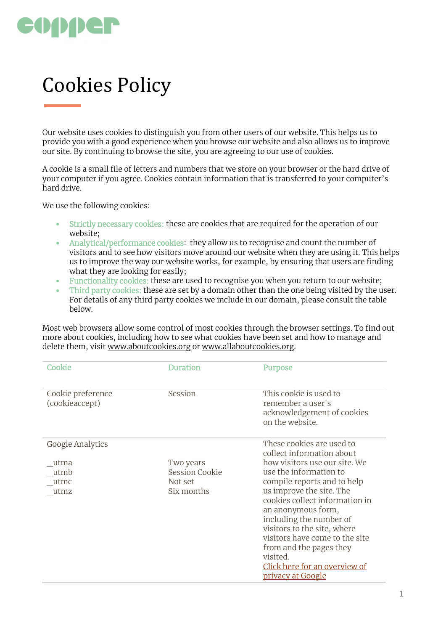

## Cookies Policy

Our website uses cookies to distinguish you from other users of our website. This helps us to provide you with a good experience when you browse our website and also allows us to improve our site. By continuing to browse the site, you are agreeing to our use of cookies.

A cookie is a small file of letters and numbers that we store on your browser or the hard drive of your computer if you agree. Cookies contain information that is transferred to your computer's hard drive.

We use the following cookies:

- Strictly necessary cookies: these are cookies that are required for the operation of our website;
- Analytical/performance cookies: they allow us to recognise and count the number of visitors and to see how visitors move around our website when they are using it. This helps us to improve the way our website works, for example, by ensuring that users are finding what they are looking for easily;
- Functionality cookies: these are used to recognise you when you return to our website;<br>• Third party cookies: these are set by a domain other than the one being visited by the u
- Third party cookies: these are set by a domain other than the one being visited by the user. For details of any third party cookies we include in our domain, please consult the table below.

Most web browsers allow some control of most cookies through the browser settings. To find out more about cookies, including how to see what cookies have been set and how to manage and delete them, visit [www.aboutcookies.org](http://www.aboutcookies.org/) or [www.allaboutcookies.org.](http://www.allaboutcookies.org/)

| Cookie                              | Duration                  | Purpose                                                                                      |
|-------------------------------------|---------------------------|----------------------------------------------------------------------------------------------|
| Cookie preference<br>(cookieaccept) | Session                   | This cookie is used to<br>remember a user's<br>acknowledgement of cookies<br>on the website. |
| Google Analytics                    |                           | These cookies are used to<br>collect information about                                       |
| utma                                | Two years                 | how visitors use our site. We                                                                |
| utmb<br>utmc                        | Session Cookie<br>Not set | use the information to<br>compile reports and to help                                        |
| utmz                                | Six months                | us improve the site. The<br>cookies collect information in                                   |
|                                     |                           | an anonymous form,                                                                           |
|                                     |                           | including the number of<br>visitors to the site, where                                       |
|                                     |                           | visitors have come to the site                                                               |
|                                     |                           | from and the pages they                                                                      |
|                                     |                           | visited.<br>Click here for an overview of                                                    |
|                                     |                           | <u>privacy at Google</u>                                                                     |